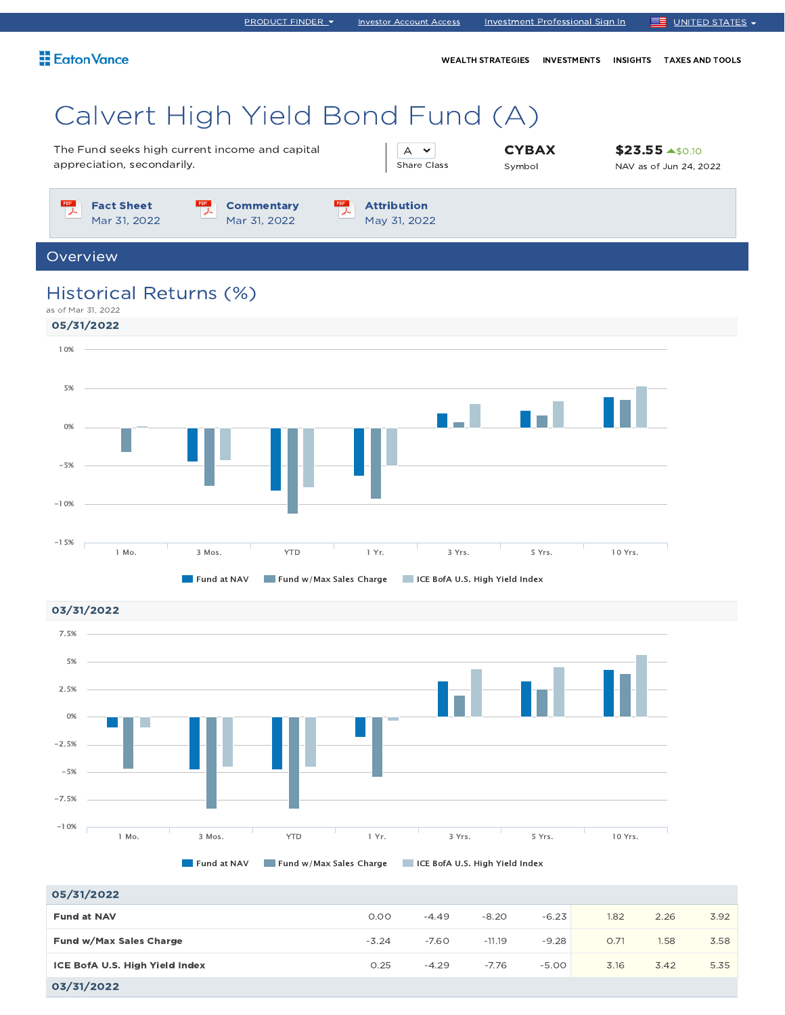| <b>Eaton Vance</b>                                                                                                         | WEALTH STRATEGIES INVESTMENTS<br><b>INSIGHTS</b> | <b>TAXES AND TOOLS</b>                                  |
|----------------------------------------------------------------------------------------------------------------------------|--------------------------------------------------|---------------------------------------------------------|
| Calvert High Yield Bond Fund (A)                                                                                           |                                                  |                                                         |
| The Fund seeks high current income and capital<br>appreciation, secondarily.<br><b>Share Class</b>                         | <b>CYBAX</b><br>Symbol                           | $$23.55$ $*$ <sub>50.10</sub><br>NAV as of Jun 24, 2022 |
| PDF<br>PDF<br><b>Fact Sheet</b><br><b>Attribution</b><br><b>Commentary</b><br>Mar 31, 2022<br>Mar 31, 2022<br>May 31, 2022 |                                                  |                                                         |
| Overview                                                                                                                   |                                                  |                                                         |
| Historical Returns (%)<br>as of Mar 31, 2022<br>05/31/2022                                                                 |                                                  |                                                         |
| 10%                                                                                                                        |                                                  |                                                         |
| 5%                                                                                                                         |                                                  |                                                         |
| 0%                                                                                                                         |                                                  |                                                         |
| $-5%$                                                                                                                      |                                                  |                                                         |
| $-10%$                                                                                                                     |                                                  |                                                         |
| $-15%$                                                                                                                     |                                                  |                                                         |

PRODUCT FINDER Investor Account Access Investment Professional Sign In UNITED STATES

03/31/2022

7.5%5% 2.5% 0% T. -2.5% -5% -7.5%  $-10%$ 1 Mo. 3 Mos. YTD 1 Yr. 3 Yrs. 5 Yrs. 10 Yrs. Fund at NAV Fund w/Max Sales Charge ICE BofA U.S. High Yield Index

**Fund at NAV Fund w/Max Sales Charge FULL BofA U.S. High Yield Index** 

1 Mo. 3 Mos. YTD 1 Yr. 3 Yrs. 5 Yrs. 10 Yrs.

| 05/31/2022                     |         |         |          |         |      |      |      |
|--------------------------------|---------|---------|----------|---------|------|------|------|
| <b>Fund at NAV</b>             | 0.00    | $-4.49$ | $-8.20$  | $-6.23$ | 1.82 | 2.26 | 3.92 |
| Fund w/Max Sales Charge        | $-3.24$ | $-7.60$ | $-11.19$ | $-9.28$ | 0.71 | 1.58 | 3.58 |
| ICE BofA U.S. High Yield Index | 0.25    | $-4.29$ | $-7.76$  | $-5.00$ | 3.16 | 3.42 | 5.35 |
| 03/31/2022                     |         |         |          |         |      |      |      |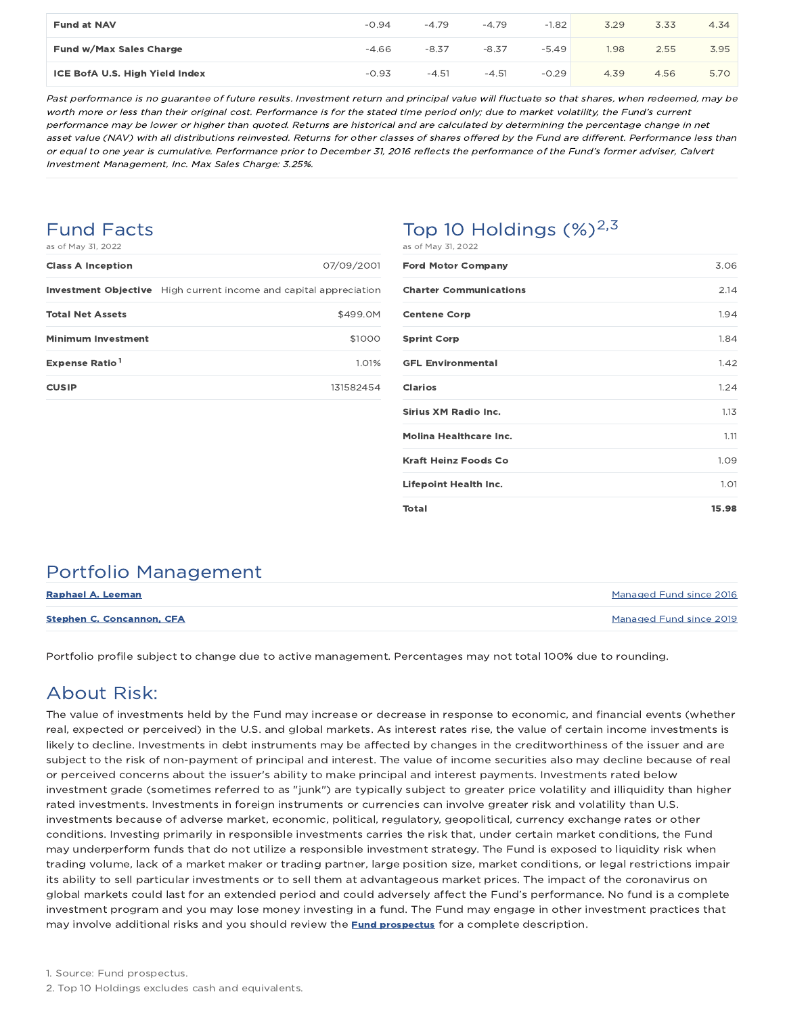| <b>Fund at NAV</b>             | $-0.94$ | $-4.79$ | $-4.79$ | $-1.82$ | 3.29 | 3.33 | 4.34 |
|--------------------------------|---------|---------|---------|---------|------|------|------|
| Fund w/Max Sales Charge        | $-4.66$ | $-8.37$ | $-8.37$ | $-5.49$ | 1.98 | 2.55 | 3.95 |
| ICE BofA U.S. High Yield Index | $-0.93$ | $-4.51$ | $-4.51$ | $-0.29$ | 4.39 | 4.56 | 5.70 |

Past performance is no guarantee of future results. Investment return and principal value will fluctuate so that shares, when redeemed, may be worth more or less than their original cost. Performance is for the stated time period only; due to market volatility, the Fund's current performance may be lower or higher than quoted. Returns are historical and are calculated by determining the percentage change in net asset value (NAV) with all distributions reinvested. Returns for other classes of shares offered by the Fund are different. Performance less than or equal to one year is cumulative. Performance prior to December 31, 2016 reflects the performance of the Fund's former adviser, Calvert Investment Management, Inc. Max Sales Charge: 3.25%.

### Fund Facts

| as of May 31, 2022 |  |  |
|--------------------|--|--|
|--------------------|--|--|

| Top 10 Holdings $(\%)^{2,3}$ |
|------------------------------|
| ACAE MAY 71 2022             |

| as ui may ji, zuzz         |                                                                          |
|----------------------------|--------------------------------------------------------------------------|
| <b>Class A Inception</b>   | 07/09/2001                                                               |
|                            | <b>Investment Objective</b> High current income and capital appreciation |
| <b>Total Net Assets</b>    | \$499.0M                                                                 |
| <b>Minimum Investment</b>  | \$1000                                                                   |
| Expense Ratio <sup>1</sup> | 1.01%                                                                    |
| <b>CUSIP</b>               | 131582454                                                                |
|                            |                                                                          |

| as or may bi, 2022            |       |
|-------------------------------|-------|
| <b>Ford Motor Company</b>     | 3.06  |
| <b>Charter Communications</b> | 2.14  |
| <b>Centene Corp</b>           | 1.94  |
| <b>Sprint Corp</b>            | 1.84  |
| <b>GFL Environmental</b>      | 1.42  |
| <b>Clarios</b>                | 1.24  |
| Sirius XM Radio Inc.          | 1.13  |
| <b>Molina Healthcare Inc.</b> | 1.11  |
| <b>Kraft Heinz Foods Co</b>   | 1.09  |
| <b>Lifepoint Health Inc.</b>  | 1.01  |
| Total                         | 15.98 |

## Portfolio Management

| Raphael A. Leeman                | Managed Fund since 2016 |
|----------------------------------|-------------------------|
| <b>Stephen C. Concannon, CFA</b> | Managed Fund since 2019 |

Portfolio profile subject to change due to active management. Percentages may not total 100% due to rounding.

## About Risk:

The value of investments held by the Fund may increase or decrease in response to economic, and financial events (whether real, expected or perceived) in the U.S. and global markets. As interest rates rise, the value of certain income investments is likely to decline. Investments in debt instruments may be affected by changes in the creditworthiness of the issuer and are subject to the risk of non-payment of principal and interest. The value of income securities also may decline because of real or perceived concerns about the issuer's ability to make principal and interest payments. Investments rated below investment grade (sometimes referred to as "junk") are typically subject to greater price volatility and illiquidity than higher rated investments. Investments in foreign instruments or currencies can involve greater risk and volatility than U.S. investments because of adverse market, economic, political, regulatory, geopolitical, currency exchange rates or other conditions. Investing primarily in responsible investments carries the risk that, under certain market conditions, the Fund may underperform funds that do not utilize a responsible investment strategy. The Fund is exposed to liquidity risk when trading volume, lack of a market maker or trading partner, large position size, market conditions, or legal restrictions impair its ability to sell particular investments or to sell them at advantageous market prices. The impact of the coronavirus on global markets could last for an extended period and could adversely affect the Fund's performance. No fund is a complete investment program and you may lose money investing in a fund. The Fund may engage in other investment practices that may involve additional risks and you should review the **Fund prospectus** for a complete description.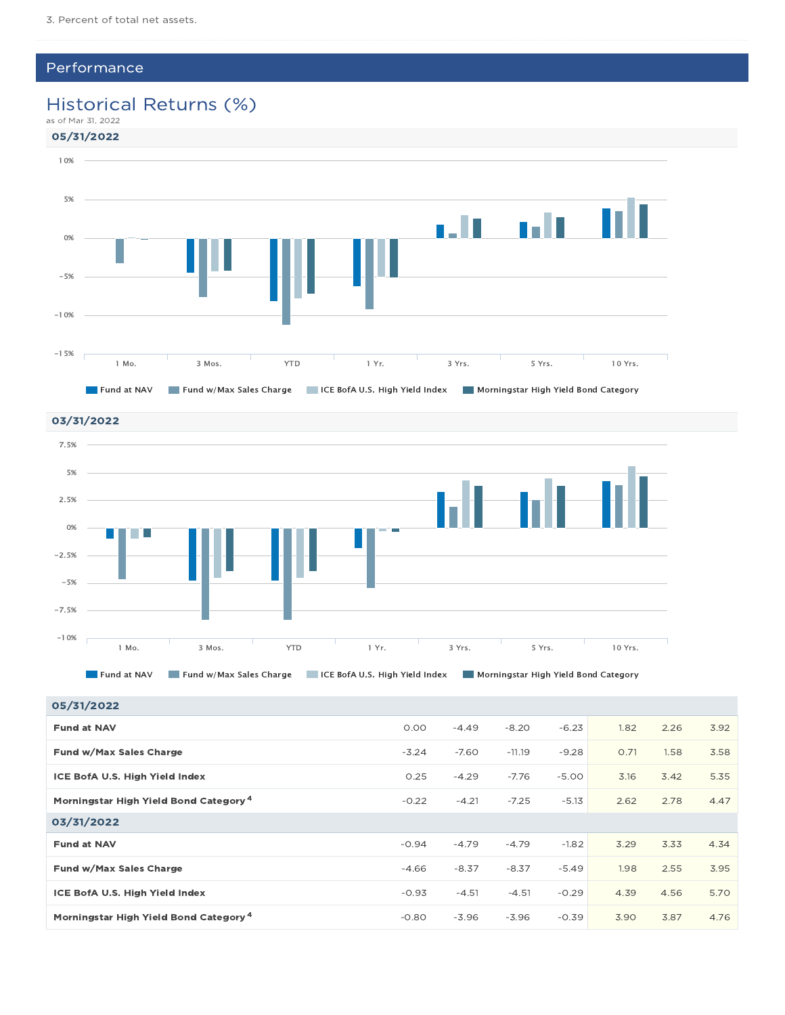### Performance

### Historical Returns (%)



03/31/2022 7.5% 5% 2.5% 0%  $\sim$  10  $\pm$ T. -2.5% -5% -7.5% -10% 1 Mo. 3 Mos. YTD 1 Yr. 3 Yrs. 5 Yrs. 10 Yrs.

Fund at NAV Fund w/Max Sales Charge ICE BofA U.S. High Yield Index Morningstar High Yield Bond Category

| 05/31/2022                                        |         |         |          |         |      |      |      |
|---------------------------------------------------|---------|---------|----------|---------|------|------|------|
| <b>Fund at NAV</b>                                | 0.00    | $-4.49$ | $-8.20$  | $-6.23$ | 1.82 | 2.26 | 3.92 |
| Fund w/Max Sales Charge                           | $-3.24$ | $-7.60$ | $-11.19$ | $-9.28$ | O.71 | 1.58 | 3.58 |
| ICE BofA U.S. High Yield Index                    | 0.25    | $-4.29$ | $-7.76$  | $-5.00$ | 3.16 | 3.42 | 5.35 |
| Morningstar High Yield Bond Category <sup>4</sup> | $-0.22$ | $-4.21$ | $-7.25$  | $-5.13$ | 2.62 | 2.78 | 4.47 |
| 03/31/2022                                        |         |         |          |         |      |      |      |
| <b>Fund at NAV</b>                                | $-0.94$ | $-4.79$ | $-4.79$  | $-1.82$ | 3.29 | 3.33 | 4.34 |
| Fund w/Max Sales Charge                           | $-4.66$ | $-8.37$ | $-8.37$  | $-5.49$ | 1.98 | 2.55 | 3.95 |
| ICE BofA U.S. High Yield Index                    | $-0.93$ | $-4.51$ | $-4.51$  | $-0.29$ | 4.39 | 4.56 | 5.70 |
| Morningstar High Yield Bond Category <sup>4</sup> | $-0.80$ | $-3.96$ | $-3.96$  | $-0.39$ | 3.90 | 3.87 | 4.76 |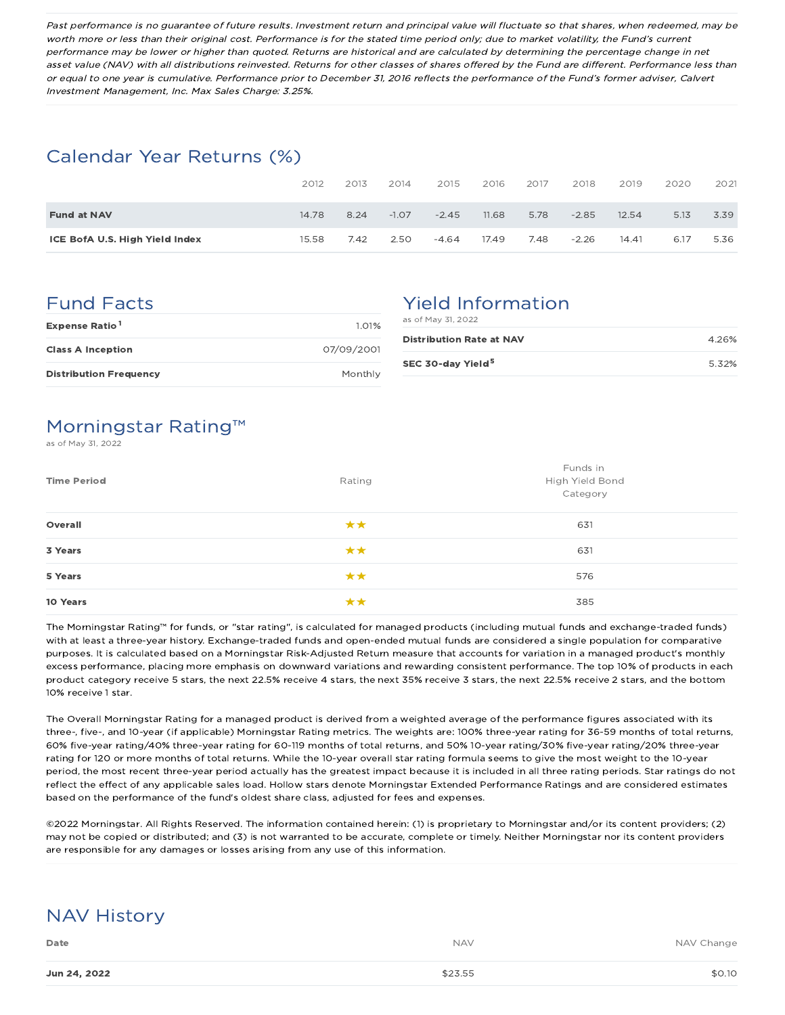Past performance is no guarantee of future results. Investment return and principal value will fluctuate so that shares, when redeemed, may be worth more or less than their original cost. Performance is for the stated time period only; due to market volatility, the Fund's current performance may be lower or higher than quoted. Returns are historical and are calculated by determining the percentage change in net asset value (NAV) with all distributions reinvested. Returns for other classes of shares offered by the Fund are different. Performance less than or equal to one year is cumulative. Performance prior to December 31, 2016 reflects the performance of the Fund's former adviser, Calvert Investment Management, Inc. Max Sales Charge: 3.25%.

### Calendar Year Returns (%)

|                                | 2012  | 2013 | 2014    | 2015    | 2016  | 2017 | 2018    | 2019  | 2020 | 2021 |
|--------------------------------|-------|------|---------|---------|-------|------|---------|-------|------|------|
| <b>Fund at NAV</b>             | 14.78 | 8.24 | $-1.07$ | $-2.45$ | 11.68 | 5.78 | $-2.85$ | 12.54 | 5.13 | 3.39 |
| ICE BofA U.S. High Yield Index | 15.58 | 7.42 | 2.50    | $-4.64$ | 17.49 | 7.48 | $-2.26$ | 14.41 | 6.17 | 5.36 |

### Fund Facts

| Expense Ratio <sup>1</sup>    | 1.01%      |
|-------------------------------|------------|
| <b>Class A Inception</b>      | 07/09/2001 |
| <b>Distribution Frequency</b> | Monthly    |

# Yield Information

| as of May 31, 2022              |       |
|---------------------------------|-------|
| <b>Distribution Rate at NAV</b> | 4.26% |
| SEC 30-day Yield <sup>5</sup>   | 5.32% |

## Morningstar Rating™

s of May 31, 2022

| <b>Time Period</b> | Rating | Funds in<br>High Yield Bond<br>Category |
|--------------------|--------|-----------------------------------------|
| Overall            | **     | 631                                     |
| 3 Years            | **     | 631                                     |
| 5 Years            | **     | 576                                     |
| 10 Years           | **     | 385                                     |

The Morningstar Rating™ for funds, or "star rating", is calculated for managed products (including mutual funds and exchange-traded funds) with at least a three-year history. Exchange-traded funds and open-ended mutual funds are considered a single population for comparative purposes. It is calculated based on a Morningstar Risk-Adjusted Return measure that accounts for variation in a managed product's monthly excess performance, placing more emphasis on downward variations and rewarding consistent performance. The top 10% of products in each product category receive 5 stars, the next 22.5% receive 4 stars, the next 35% receive 3 stars, the next 22.5% receive 2 stars, and the bottom 10% receive 1 star.

The Overall Morningstar Rating for a managed product is derived from a weighted average of the performance figures associated with its three-, five-, and 10-year (if applicable) Morningstar Rating metrics. The weights are: 100% three-year rating for 36-59 months of total returns, 60% five-year rating/40% three-year rating for 60-119 months of total returns, and 50% 10-year rating/30% five-year rating/20% three-year rating for 120 or more months of total returns. While the 10-year overall star rating formula seems to give the most weight to the 10-year period, the most recent three-year period actually has the greatest impact because it is included in all three rating periods. Star ratings do not reflect the effect of any applicable sales load. Hollow stars denote Morningstar Extended Performance Ratings and are considered estimates based on the performance of the fund's oldest share class, adjusted for fees and expenses.

©2022 Morningstar. All Rights Reserved. The information contained herein: (1) is proprietary to Morningstar and/or its content providers; (2) may not be copied or distributed; and (3) is not warranted to be accurate, complete or timely. Neither Morningstar nor its content providers are responsible for any damages or losses arising from any use of this information.

# NAV History

| Date         | <b>NAV</b> | NAV Change |
|--------------|------------|------------|
| Jun 24, 2022 | \$23.55    | \$0.10     |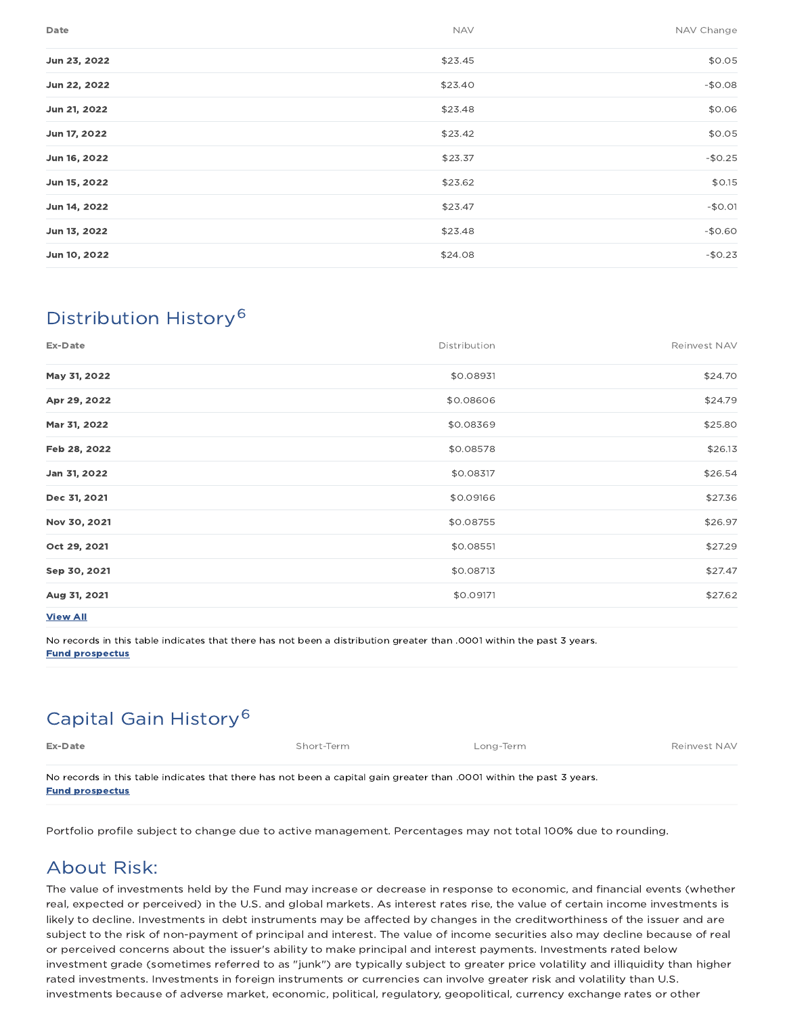| Date         | <b>NAV</b> | NAV Change |
|--------------|------------|------------|
| Jun 23, 2022 | \$23.45    | \$0.05     |
| Jun 22, 2022 | \$23.40    | $-$0.08$   |
| Jun 21, 2022 | \$23.48    | \$0.06     |
| Jun 17, 2022 | \$23.42    | \$0.05     |
| Jun 16, 2022 | \$23.37    | $-$0.25$   |
| Jun 15, 2022 | \$23.62    | \$0.15     |
| Jun 14, 2022 | \$23.47    | $-$0.01$   |
| Jun 13, 2022 | \$23.48    | $-$0.60$   |
| Jun 10, 2022 | \$24.08    | $-$0.23$   |

# Distribution History 6

| Ex-Date         | Distribution | Reinvest NAV |
|-----------------|--------------|--------------|
| May 31, 2022    | \$0.08931    | \$24.70      |
| Apr 29, 2022    | \$0.08606    | \$24.79      |
| Mar 31, 2022    | \$0.08369    | \$25.80      |
| Feb 28, 2022    | \$0.08578    | \$26.13      |
| Jan 31, 2022    | \$0.08317    | \$26.54      |
| Dec 31, 2021    | \$0.09166    | \$27.36      |
| Nov 30, 2021    | \$0.08755    | \$26.97      |
| Oct 29, 2021    | \$0.08551    | \$27.29      |
| Sep 30, 2021    | \$0.08713    | \$27.47      |
| Aug 31, 2021    | \$0.09171    | \$27.62      |
| <b>View All</b> |              |              |

No records in this table indicates that there has not been a distribution greater than .0001 within the past 3 years. Fund prospectus

# Capital Gain History 6

| Ex-Date                                                                                                              | Short-Term | Long-Term | Reinvest NAV |
|----------------------------------------------------------------------------------------------------------------------|------------|-----------|--------------|
| No records in this table indicates that there has not been a capital gain greater than 0001 within the past 3 years. |            |           |              |

Fund prospectus

Portfolio profile subject to change due to active management. Percentages may not total 100% due to rounding.

### About Risk:

The value of investments held by the Fund may increase or decrease in response to economic, and financial events (whether real, expected or perceived) in the U.S. and global markets. As interest rates rise, the value of certain income investments is likely to decline. Investments in debt instruments may be affected by changes in the creditworthiness of the issuer and are subject to the risk of non-payment of principal and interest. The value of income securities also may decline because of real or perceived concerns about the issuer's ability to make principal and interest payments. Investments rated below investment grade (sometimes referred to as "junk") are typically subject to greater price volatility and illiquidity than higher rated investments. Investments in foreign instruments or currencies can involve greater risk and volatility than U.S. investments because of adverse market, economic, political, regulatory, geopolitical, currency exchange rates or other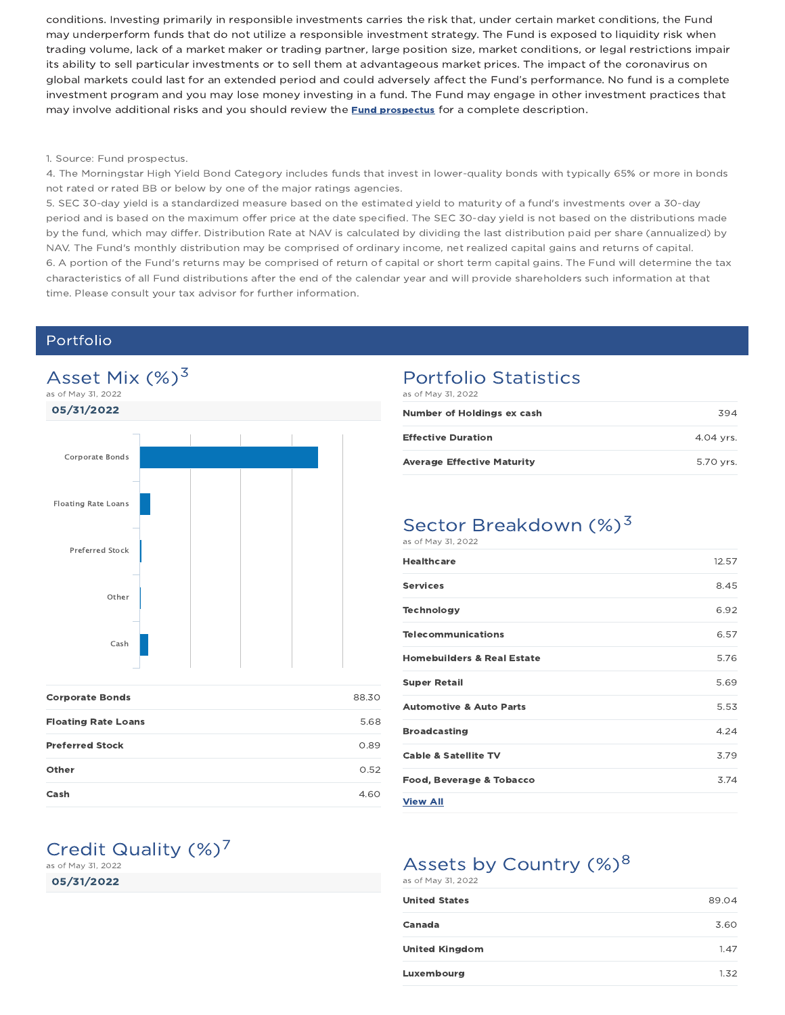conditions. Investing primarily in responsible investments carries the risk that, under certain market conditions, the Fund may underperform funds that do not utilize a responsible investment strategy. The Fund is exposed to liquidity risk when trading volume, lack of a market maker or trading partner, large position size, market conditions, or legal restrictions impair its ability to sell particular investments or to sell them at advantageous market prices. The impact of the coronavirus on global markets could last for an extended period and could adversely affect the Fund's performance. No fund is a complete investment program and you may lose money investing in a fund. The Fund may engage in other investment practices that may involve additional risks and you should review the **Fund prospectus** for a complete description.

#### 1. Source: Fund prospectus.

4. The Morningstar High Yield Bond Category includes funds that invest in lower-quality bonds with typically 65% or more in bonds not rated or rated BB or below by one of the major ratings agencies.

5. SEC 30-day yield is a standardized measure based on the estimated yield to maturity of a fund's investments over a 30-day period and is based on the maximum offer price at the date specified. The SEC 30-day yield is not based on the distributions made by the fund, which may differ. Distribution Rate at NAV is calculated by dividing the last distribution paid per share (annualized) by NAV. The Fund's monthly distribution may be comprised of ordinary income, net realized capital gains and returns of capital. 6. A portion of the Fund's returns may be comprised of return of capital or short term capital gains. The Fund will determine the tax characteristics of all Fund distributions after the end of the calendar year and will provide shareholders such information at that time. Please consult your tax advisor for further information.

### Portfolio



| <b>Corporate Bonds</b>     | 88.30 |
|----------------------------|-------|
| <b>Floating Rate Loans</b> | 5.68  |
| <b>Preferred Stock</b>     | 0.89  |
| Other                      | 0.52  |
| Cash                       | 4.60  |

## Portfolio Statistics

as of May 31, 2022

| Number of Holdings ex cash        | 394       |
|-----------------------------------|-----------|
| <b>Effective Duration</b>         | 4.04 vrs. |
| <b>Average Effective Maturity</b> | 5.70 vrs. |

### Sector Breakdown (%)<sup>3</sup> as of May 31, 2022

| <b>Healthcare</b>                     | 12.57 |
|---------------------------------------|-------|
| <b>Services</b>                       | 8.45  |
| <b>Technology</b>                     | 6.92  |
| <b>Telecommunications</b>             | 6.57  |
| <b>Homebuilders &amp; Real Estate</b> | 5.76  |
| <b>Super Retail</b>                   | 5.69  |
| <b>Automotive &amp; Auto Parts</b>    | 5.53  |
| <b>Broadcasting</b>                   | 4.24  |
| <b>Cable &amp; Satellite TV</b>       | 3.79  |
| Food, Beverage & Tobacco              | 3.74  |
| <b>View All</b>                       |       |
|                                       |       |

# Assets by Country  $(\%)^8$

as of May 31, 2022

| <b>United States</b>  | 89.04 |
|-----------------------|-------|
| Canada                | 3.60  |
| <b>United Kingdom</b> | 1.47  |
| Luxembourg            | 1.32  |

### Credit Quality  $(\%)^7$ as of May 31, 2022

05/31/2022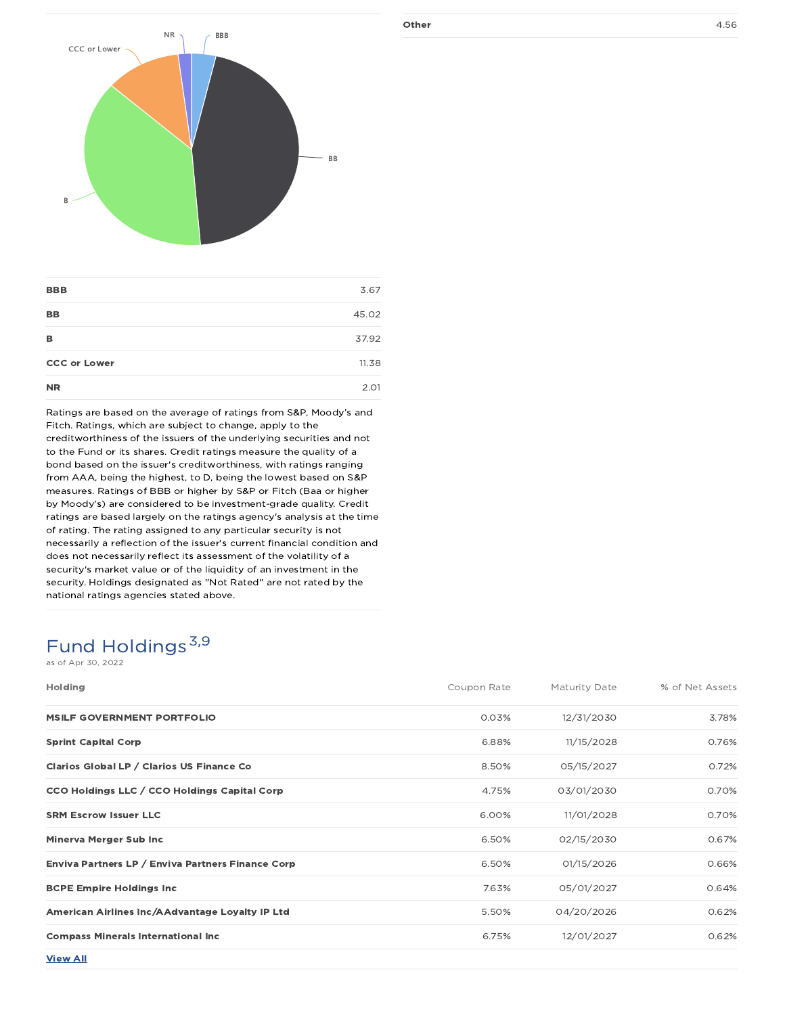

| <b>BBB</b>          | 3.67  |
|---------------------|-------|
| <b>BB</b>           | 45.02 |
| в                   | 37.92 |
| <b>CCC or Lower</b> | 11.38 |
| <b>NR</b>           | 2.01  |

Ratings are based on the average of ratings from S&P, Moody's and Fitch. Ratings, which are subject to change, apply to the creditworthiness of the issuers of the underlying securities and not to the Fund or its shares. Credit ratings measure the quality of a bond based on the issuer's creditworthiness, with ratings ranging from AAA, being the highest, to D, being the lowest based on S&P measures. Ratings of BBB or higher by S&P or Fitch (Baa or higher by Moody's) are considered to be investment-grade quality. Credit ratings are based largely on the ratings agency's analysis at the time of rating. The rating assigned to any particular security is not necessarily a reflection of the issuer's current financial condition and does not necessarily reflect its assessment of the volatility of a security's market value or of the liquidity of an investment in the security. Holdings designated as "Not Rated" are not rated by the national ratings agencies stated above.

# Fund Holdings 3,9

as of Apr 30, 2022

| Holding                                           | Coupon Rate | Maturity Date | % of Net Assets |
|---------------------------------------------------|-------------|---------------|-----------------|
| <b>MSILF GOVERNMENT PORTFOLIO</b>                 | 0.03%       | 12/31/2030    | 3.78%           |
| <b>Sprint Capital Corp</b>                        | 6.88%       | 11/15/2028    | 0.76%           |
| Clarios Global LP / Clarios US Finance Co         | 8.50%       | 05/15/2027    | 0.72%           |
| CCO Holdings LLC / CCO Holdings Capital Corp      | 4.75%       | 03/01/2030    | 0.70%           |
| <b>SRM Escrow Issuer LLC</b>                      | 6.00%       | 11/01/2028    | 0.70%           |
| Minerva Merger Sub Inc                            | 6.50%       | 02/15/2030    | 0.67%           |
| Enviva Partners LP / Enviva Partners Finance Corp | 6.50%       | 01/15/2026    | 0.66%           |
| <b>BCPE Empire Holdings Inc.</b>                  | 7.63%       | 05/01/2027    | 0.64%           |
| American Airlines Inc/AAdvantage Loyalty IP Ltd   | 5.50%       | 04/20/2026    | 0.62%           |
| <b>Compass Minerals International Inc.</b>        | 6.75%       | 12/01/2027    | 0.62%           |
| <b>View All</b>                                   |             |               |                 |

Other 4.56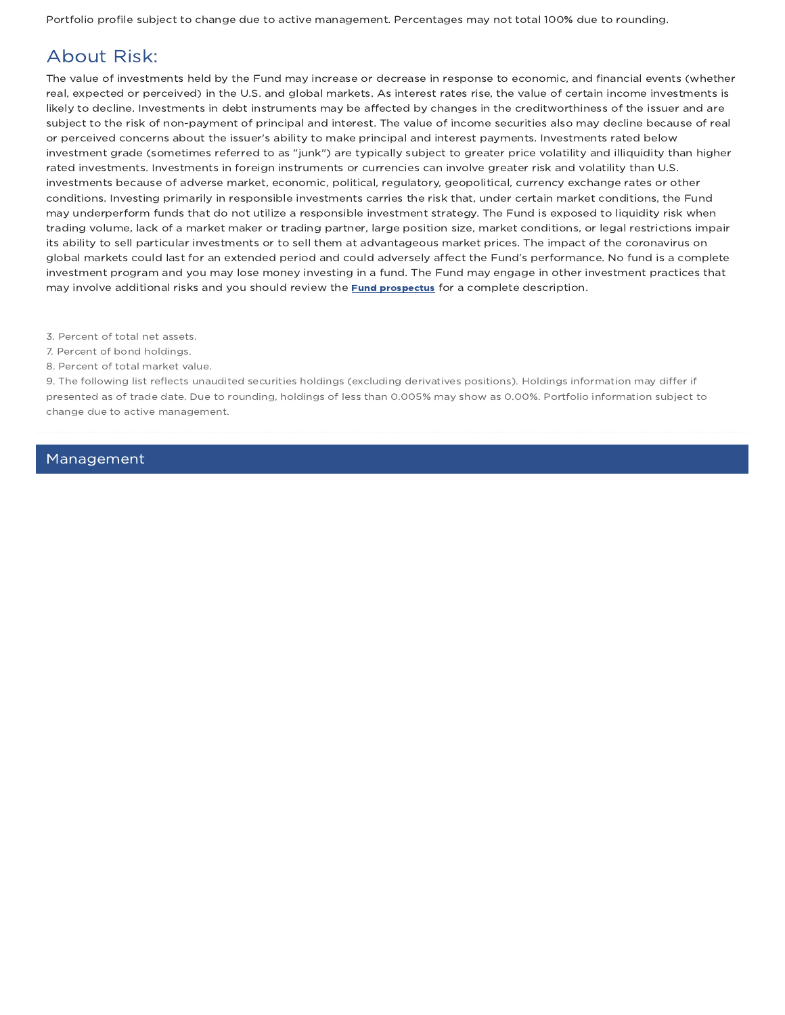Portfolio profile subject to change due to active management. Percentages may not total 100% due to rounding.

## About Risk:

The value of investments held by the Fund may increase or decrease in response to economic, and financial events (whether real, expected or perceived) in the U.S. and global markets. As interest rates rise, the value of certain income investments is likely to decline. Investments in debt instruments may be affected by changes in the creditworthiness of the issuer and are subject to the risk of non-payment of principal and interest. The value of income securities also may decline because of real or perceived concerns about the issuer's ability to make principal and interest payments. Investments rated below investment grade (sometimes referred to as "junk") are typically subject to greater price volatility and illiquidity than higher rated investments. Investments in foreign instruments or currencies can involve greater risk and volatility than U.S. investments because of adverse market, economic, political, regulatory, geopolitical, currency exchange rates or other conditions. Investing primarily in responsible investments carries the risk that, under certain market conditions, the Fund may underperform funds that do not utilize a responsible investment strategy. The Fund is exposed to liquidity risk when trading volume, lack of a market maker or trading partner, large position size, market conditions, or legal restrictions impair its ability to sell particular investments or to sell them at advantageous market prices. The impact of the coronavirus on global markets could last for an extended period and could adversely affect the Fund's performance. No fund is a complete investment program and you may lose money investing in a fund. The Fund may engage in other investment practices that may involve additional risks and you should review the **Fund prospectus** for a complete description.

3. Percent of total net assets.

- 7. Percent of bond holdings.
- 8. Percent of total market value.

9. The following list reflects unaudited securities holdings (excluding derivatives positions). Holdings information may differ if presented as of trade date. Due to rounding, holdings of less than 0.005% may show as 0.00%. Portfolio information subject to change due to active management.

### Management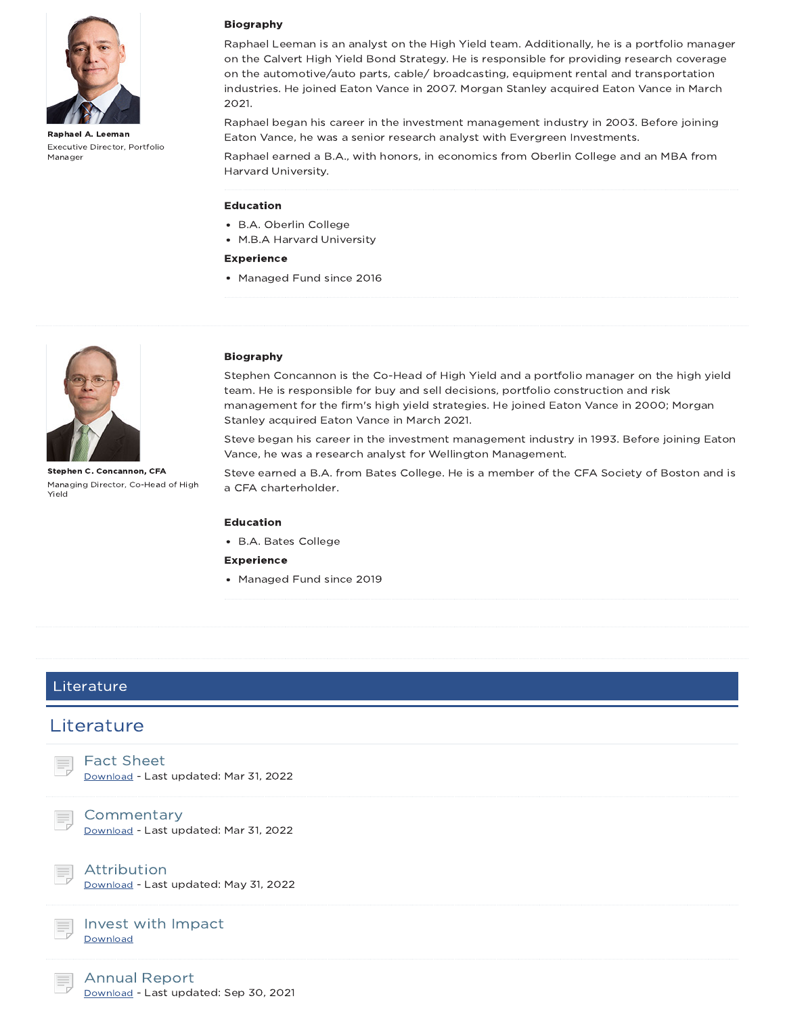

Raphael A. Leeman Executive Director, Portfolio Manager

#### Biography

Raphael Leeman is an analyst on the High Yield team. Additionally, he is a portfolio manager on the Calvert High Yield Bond Strategy. He is responsible for providing research coverage on the automotive/auto parts, cable/ broadcasting, equipment rental and transportation industries. He joined Eaton Vance in 2007. Morgan Stanley acquired Eaton Vance in March 2021.

Raphael began his career in the investment management industry in 2003. Before joining Eaton Vance, he was a senior research analyst with Evergreen Investments.

Raphael earned a B.A., with honors, in economics from Oberlin College and an MBA from Harvard University.

#### Education

- B.A. Oberlin College
- M.B.A Harvard University

#### Experience

• Managed Fund since 2016



Stephen C. Concannon, CFA Managing Director, Co-Head of High Yield

#### Biography

Stephen Concannon is the Co-Head of High Yield and a portfolio manager on the high yield team. He is responsible for buy and sell decisions, portfolio construction and risk management for the firm's high yield strategies. He joined Eaton Vance in 2000; Morgan Stanley acquired Eaton Vance in March 2021.

Steve began his career in the investment management industry in 1993. Before joining Eaton Vance, he was a research analyst for Wellington Management.

Steve earned a B.A. from Bates College. He is a member of the CFA Society of Boston and is a CFA charterholder.

#### Education

B.A. Bates College

Experience

Managed Fund since 2019

### Literature

### **Literature**

| <b>Fact Sheet</b>                     |
|---------------------------------------|
| Download - Last updated: Mar 31, 2022 |

**Commentary** 

Download - Last updated: Mar 31, 2022



Attribution Download - Last updated: May 31, 2022

#### Invest with Impact **Download**

Annual Report Download - Last updated: Sep 30, 2021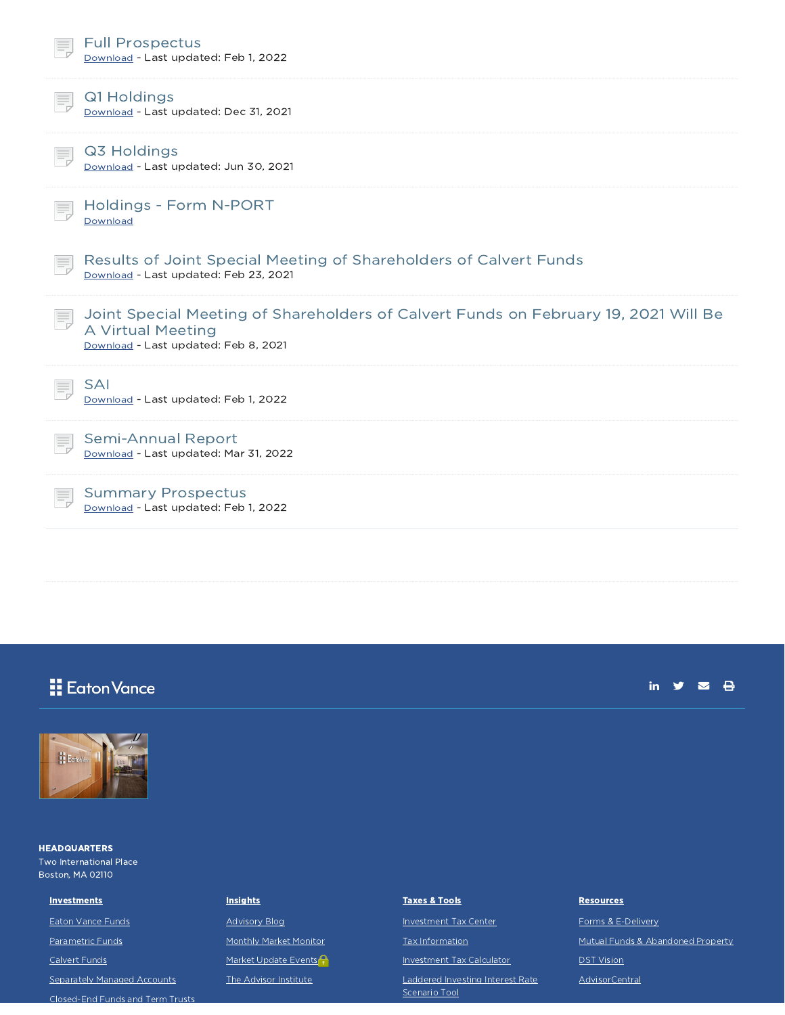|    | <b>Full Prospectus</b><br>Download - Last updated: Feb 1, 2022                                                                                   |
|----|--------------------------------------------------------------------------------------------------------------------------------------------------|
|    | Q1 Holdings<br>Download - Last updated: Dec 31, 2021                                                                                             |
|    | Q3 Holdings<br>Download - Last updated: Jun 30, 2021                                                                                             |
|    | Holdings - Form N-PORT<br>Download                                                                                                               |
|    | Results of Joint Special Meeting of Shareholders of Calvert Funds<br>Download - Last updated: Feb 23, 2021                                       |
| E, | Joint Special Meeting of Shareholders of Calvert Funds on February 19, 2021 Will Be<br>A Virtual Meeting<br>Download - Last updated: Feb 8, 2021 |
|    | <b>SAI</b><br>Download - Last updated: Feb 1, 2022                                                                                               |
|    | <b>Semi-Annual Report</b><br>Download - Last updated: Mar 31, 2022                                                                               |
|    | <b>Summary Prospectus</b><br>Download - Last updated: Feb 1, 2022                                                                                |

# **H** Eaton Vance





**HEADQUARTERS** Two International Place Boston, MA 02110

#### **Investments**

Eaton Vance Funds

Parametric Funds

Calvert Funds

Separately Managed Accounts Closed-End Funds and Term Trusts

#### **Insights**

Advisory Blog

Monthly Market Monitor

Market Update Events

The Advisor Institute

#### Taxes & Tools

Investment Tax Center

Tax Information

Investment Tax Calculator

Laddered Investing Interest Rate Scenario Tool

#### **Resources**

Forms & E-Delivery Mutual Funds & Abandoned Property DST Vision AdvisorCentral